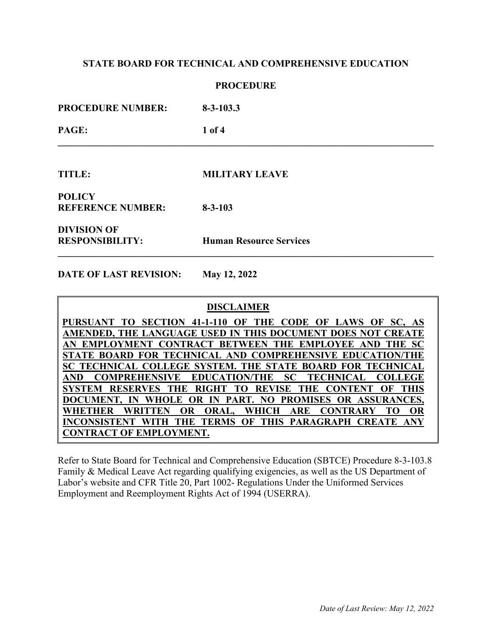### **PROCEDURE**

**\_\_\_\_\_\_\_\_\_\_\_\_\_\_\_\_\_\_\_\_\_\_\_\_\_\_\_\_\_\_\_\_\_\_\_\_\_\_\_\_\_\_\_\_\_\_\_\_\_\_\_\_\_\_\_\_\_\_\_\_\_\_\_\_\_\_\_\_\_\_\_\_\_\_\_\_\_\_** 

**PROCEDURE NUMBER: 8-3-103.3** 

**PAGE: 1 of 4** 

**TITLE: MILITARY LEAVE**

**POLICY REFERENCE NUMBER: 8-3-103** 

**DIVISION OF**

**RESPONSIBILITY: Human Resource Services** 

**\_\_\_\_\_\_\_\_\_\_\_\_\_\_\_\_\_\_\_\_\_\_\_\_\_\_\_\_\_\_\_\_\_\_\_\_\_\_\_\_\_\_\_\_\_\_\_\_\_\_\_\_\_\_\_\_\_\_\_\_\_\_\_\_\_\_\_\_\_\_\_\_\_\_\_\_\_\_** 

**DATE OF LAST REVISION: May 12, 2022** 

 **DISCLAIMER**

**PURSUANT TO SECTION 41-1-110 OF THE CODE OF LAWS OF SC, AS AMENDED, THE LANGUAGE USED IN THIS DOCUMENT DOES NOT CREATE AN EMPLOYMENT CONTRACT BETWEEN THE EMPLOYEE AND THE SC STATE BOARD FOR TECHNICAL AND COMPREHENSIVE EDUCATION/THE SC TECHNICAL COLLEGE SYSTEM. THE STATE BOARD FOR TECHNICAL AND COMPREHENSIVE EDUCATION/THE SC TECHNICAL COLLEGE SYSTEM RESERVES THE RIGHT TO REVISE THE CONTENT OF THIS DOCUMENT, IN WHOLE OR IN PART. NO PROMISES OR ASSURANCES, WHETHER WRITTEN OR ORAL, WHICH ARE CONTRARY TO OR INCONSISTENT WITH THE TERMS OF THIS PARAGRAPH CREATE ANY CONTRACT OF EMPLOYMENT.** 

Refer to State Board for Technical and Comprehensive Education (SBTCE) Procedure 8-3-103.8 Family & Medical Leave Act regarding qualifying exigencies, as well as the US Department of Labor's website and CFR Title 20, [Part 1002- Regulations Under the Uniformed Services](http://ecfr.gpoaccess.gov/cgi/t/text/text-idx?c=ecfr&sid=c4f2781e3fdf017b31cd56cf2f950c3b&rgn=div5&view=text&node=20:3.0.6.3.2&idno=20#20:3.0.6.3.2.3.160)  [Employment and Reemployment Rights Act of 1994](http://ecfr.gpoaccess.gov/cgi/t/text/text-idx?c=ecfr&sid=c4f2781e3fdf017b31cd56cf2f950c3b&rgn=div5&view=text&node=20:3.0.6.3.2&idno=20#20:3.0.6.3.2.3.160) (USERRA).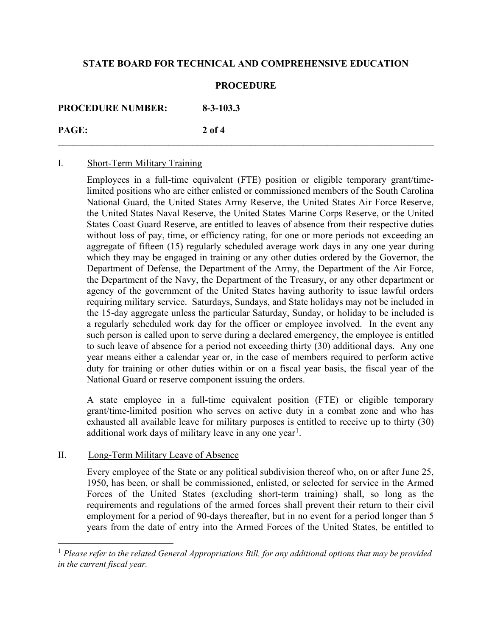### **PROCEDURE**

**PROCEDURE NUMBER: 8-3-103.3** 

**PAGE: 2 of 4 \_\_\_\_\_\_\_\_\_\_\_\_\_\_\_\_\_\_\_\_\_\_\_\_\_\_\_\_\_\_\_\_\_\_\_\_\_\_\_\_\_\_\_\_\_\_\_\_\_\_\_\_\_\_\_\_\_\_\_\_\_\_\_\_\_\_\_\_\_\_\_\_\_\_\_\_\_\_** 

## I. Short-Term Military Training

Employees in a full-time equivalent (FTE) position or eligible temporary grant/timelimited positions who are either enlisted or commissioned members of the South Carolina National Guard, the United States Army Reserve, the United States Air Force Reserve, the United States Naval Reserve, the United States Marine Corps Reserve, or the United States Coast Guard Reserve, are entitled to leaves of absence from their respective duties without loss of pay, time, or efficiency rating, for one or more periods not exceeding an aggregate of fifteen (15) regularly scheduled average work days in any one year during which they may be engaged in training or any other duties ordered by the Governor, the Department of Defense, the Department of the Army, the Department of the Air Force, the Department of the Navy, the Department of the Treasury, or any other department or agency of the government of the United States having authority to issue lawful orders requiring military service. Saturdays, Sundays, and State holidays may not be included in the 15-day aggregate unless the particular Saturday, Sunday, or holiday to be included is a regularly scheduled work day for the officer or employee involved. In the event any such person is called upon to serve during a declared emergency, the employee is entitled to such leave of absence for a period not exceeding thirty (30) additional days. Any one year means either a calendar year or, in the case of members required to perform active duty for training or other duties within or on a fiscal year basis, the fiscal year of the National Guard or reserve component issuing the orders.

A state employee in a full-time equivalent position (FTE) or eligible temporary grant/time-limited position who serves on active duty in a combat zone and who has exhausted all available leave for military purposes is entitled to receive up to thirty (30) additional work days of military leave in any one year<sup>[1](#page-1-0)</sup>.

## II. Long-Term Military Leave of Absence

Every employee of the State or any political subdivision thereof who, on or after June 25, 1950, has been, or shall be commissioned, enlisted, or selected for service in the Armed Forces of the United States (excluding short-term training) shall, so long as the requirements and regulations of the armed forces shall prevent their return to their civil employment for a period of 90-days thereafter, but in no event for a period longer than 5 years from the date of entry into the Armed Forces of the United States, be entitled to

<span id="page-1-0"></span><sup>1</sup> *Please refer to the related General Appropriations Bill, for any additional options that may be provided in the current fiscal year.*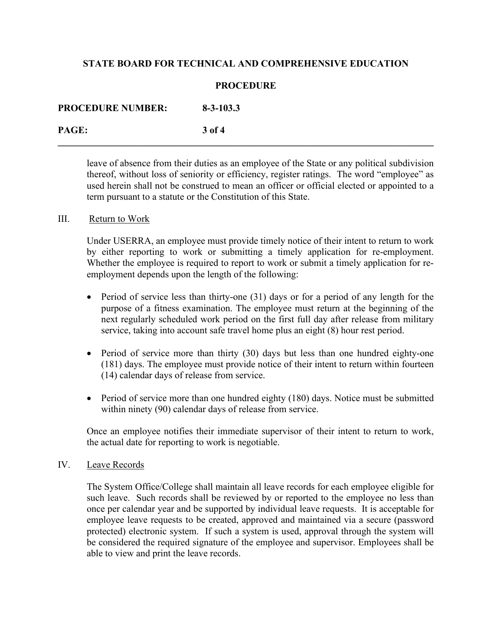### **PROCEDURE**

**\_\_\_\_\_\_\_\_\_\_\_\_\_\_\_\_\_\_\_\_\_\_\_\_\_\_\_\_\_\_\_\_\_\_\_\_\_\_\_\_\_\_\_\_\_\_\_\_\_\_\_\_\_\_\_\_\_\_\_\_\_\_\_\_\_\_\_\_\_\_\_\_\_\_\_\_\_\_** 

**PROCEDURE NUMBER: 8-3-103.3 PAGE: 3 of 4** 

> leave of absence from their duties as an employee of the State or any political subdivision thereof, without loss of seniority or efficiency, register ratings. The word "employee" as used herein shall not be construed to mean an officer or official elected or appointed to a term pursuant to a statute or the Constitution of this State.

#### III. Return to Work

Under USERRA, an employee must provide timely notice of their intent to return to work by either reporting to work or submitting a timely application for re-employment. Whether the employee is required to report to work or submit a timely application for reemployment depends upon the length of the following:

- Period of service less than thirty-one (31) days or for a period of any length for the purpose of a fitness examination. The employee must return at the beginning of the next regularly scheduled work period on the first full day after release from military service, taking into account safe travel home plus an eight (8) hour rest period.
- Period of service more than thirty (30) days but less than one hundred eighty-one (181) days. The employee must provide notice of their intent to return within fourteen (14) calendar days of release from service.
- Period of service more than one hundred eighty (180) days. Notice must be submitted within ninety (90) calendar days of release from service.

Once an employee notifies their immediate supervisor of their intent to return to work, the actual date for reporting to work is negotiable.

#### IV. Leave Records

The System Office/College shall maintain all leave records for each employee eligible for such leave. Such records shall be reviewed by or reported to the employee no less than once per calendar year and be supported by individual leave requests. It is acceptable for employee leave requests to be created, approved and maintained via a secure (password protected) electronic system. If such a system is used, approval through the system will be considered the required signature of the employee and supervisor. Employees shall be able to view and print the leave records.